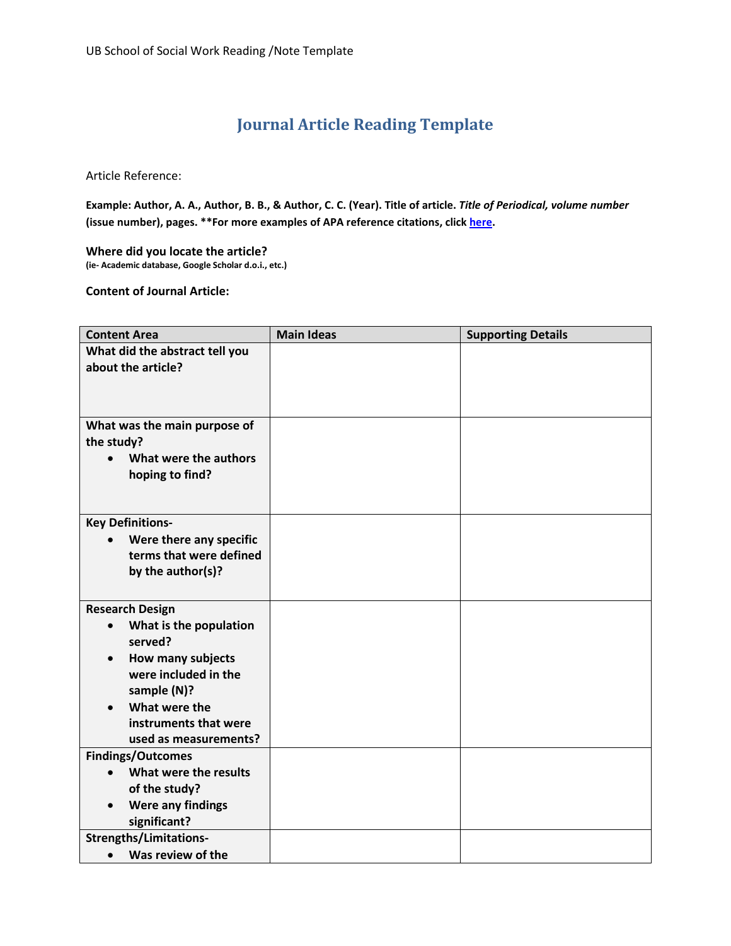## **Journal Article Reading Template**

Article Reference:

**Example: Author, A. A., Author, B. B., & Author, C. C. (Year). Title of article.** *Title of Periodical, volume number* **(issue number), pages. \*\*For more examples of APA reference citations, clic[k here.](http://owl.english.purdue.edu/owl/resource/560/06/)**

**Where did you locate the article? (ie- Academic database, Google Scholar d.o.i., etc.)**

**Content of Journal Article:**

| <b>Content Area</b>                   | <b>Main Ideas</b> | <b>Supporting Details</b> |
|---------------------------------------|-------------------|---------------------------|
| What did the abstract tell you        |                   |                           |
| about the article?                    |                   |                           |
|                                       |                   |                           |
|                                       |                   |                           |
| What was the main purpose of          |                   |                           |
| the study?                            |                   |                           |
| What were the authors<br>$\bullet$    |                   |                           |
| hoping to find?                       |                   |                           |
|                                       |                   |                           |
|                                       |                   |                           |
| <b>Key Definitions-</b>               |                   |                           |
| Were there any specific               |                   |                           |
| terms that were defined               |                   |                           |
| by the author(s)?                     |                   |                           |
|                                       |                   |                           |
| <b>Research Design</b>                |                   |                           |
| What is the population<br>$\bullet$   |                   |                           |
| served?                               |                   |                           |
| <b>How many subjects</b><br>$\bullet$ |                   |                           |
| were included in the                  |                   |                           |
| sample (N)?<br>What were the          |                   |                           |
| instruments that were                 |                   |                           |
| used as measurements?                 |                   |                           |
| <b>Findings/Outcomes</b>              |                   |                           |
| What were the results                 |                   |                           |
| of the study?                         |                   |                           |
| <b>Were any findings</b>              |                   |                           |
| significant?                          |                   |                           |
| <b>Strengths/Limitations-</b>         |                   |                           |
| Was review of the<br>$\bullet$        |                   |                           |